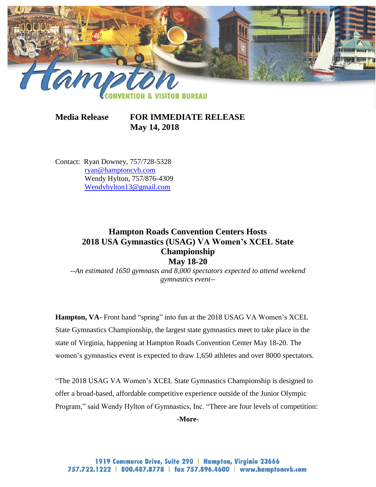

**Media Release FOR IMMEDIATE RELEASE May 14, 2018**

Contact: Ryan Downey, 757/728-5328 [ryan@hamptoncvb.com](mailto:ryan@hamptoncvb.com) Wendy Hylton, 757/876-4309 [Wendyhylton13@gmail.com](mailto:Wendyhylton13@gmail.com)

# **Hampton Roads Convention Centers Hosts 2018 USA Gymnastics (USAG) VA Women's XCEL State Championship May 18-20**

*--An estimated 1650 gymnasts and 8,000 spectators expected to attend weekend gymnastics event--*

**Hampton, VA-** Front hand "spring" into fun at the 2018 USAG VA Women's XCEL State Gymnastics Championship, the largest state gymnastics meet to take place in the state of Virginia, happening at Hampton Roads Convention Center May 18-20. The women's gymnastics event is expected to draw 1,650 athletes and over 8000 spectators.

"The 2018 USAG VA Women's XCEL State Gymnastics Championship is designed to offer a broad-based, affordable competitive experience outside of the Junior Olympic Program," said Wendy Hylton of Gymnastics, Inc. "There are four levels of competition:

**-More-**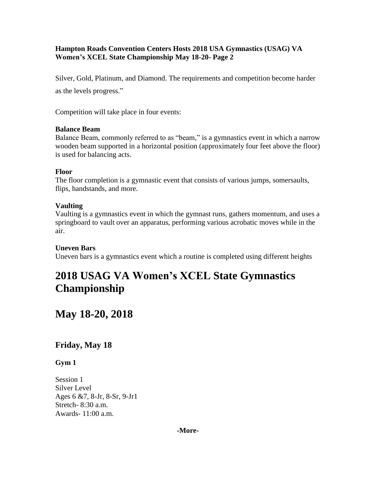Silver, Gold, Platinum, and Diamond. The requirements and competition become harder as the levels progress."

Competition will take place in four events:

### **Balance Beam**

Balance Beam, commonly referred to as "beam," is a gymnastics event in which a narrow wooden beam supported in a horizontal position (approximately four feet above the floor) is used for balancing acts.

# **Floor**

The floor completion is a gymnastic event that consists of various jumps, somersaults, flips, handstands, and more.

# **Vaulting**

Vaulting is a gymnastics event in which the gymnast runs, gathers momentum, and uses a springboard to vault over an apparatus, performing various acrobatic moves while in the air.

# **Uneven Bars**

Uneven bars is a gymnastics event which a routine is completed using different heights

# **2018 USAG VA Women's XCEL State Gymnastics Championship**

# **May 18-20, 2018**

# **Friday, May 18**

# **Gym 1**

Session 1 Silver Level Ages 6 &7, 8-Jr, 8-Sr, 9-Jr1 Stretch- 8:30 a.m. Awards- 11:00 a.m.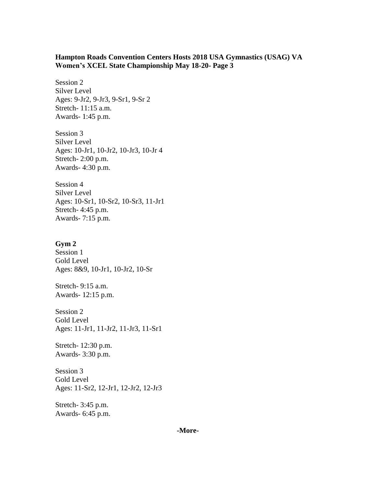Session 2 Silver Level Ages: 9-Jr2, 9-Jr3, 9-Sr1, 9-Sr 2 Stretch- 11:15 a.m. Awards- 1:45 p.m.

Session 3 Silver Level Ages: 10-Jr1, 10-Jr2, 10-Jr3, 10-Jr 4 Stretch- 2:00 p.m. Awards- 4:30 p.m.

Session 4 Silver Level Ages: 10-Sr1, 10-Sr2, 10-Sr3, 11-Jr1 Stretch- 4:45 p.m. Awards- 7:15 p.m.

#### **Gym 2**

Session 1 Gold Level Ages: 8&9, 10-Jr1, 10-Jr2, 10-Sr

Stretch- 9:15 a.m. Awards- 12:15 p.m.

Session 2 Gold Level Ages: 11-Jr1, 11-Jr2, 11-Jr3, 11-Sr1

Stretch- 12:30 p.m. Awards- 3:30 p.m.

Session 3 Gold Level Ages: 11-Sr2, 12-Jr1, 12-Jr2, 12-Jr3

Stretch- 3:45 p.m. Awards- 6:45 p.m.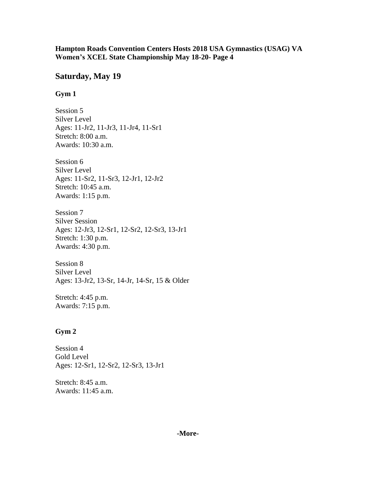# **Saturday, May 19**

## **Gym 1**

Session 5 Silver Level Ages: 11-Jr2, 11-Jr3, 11-Jr4, 11-Sr1 Stretch: 8:00 a.m. Awards: 10:30 a.m.

Session 6 Silver Level Ages: 11-Sr2, 11-Sr3, 12-Jr1, 12-Jr2 Stretch: 10:45 a.m. Awards: 1:15 p.m.

Session 7 Silver Session Ages: 12-Jr3, 12-Sr1, 12-Sr2, 12-Sr3, 13-Jr1 Stretch: 1:30 p.m. Awards: 4:30 p.m.

Session 8 Silver Level Ages: 13-Jr2, 13-Sr, 14-Jr, 14-Sr, 15 & Older

Stretch: 4:45 p.m. Awards: 7:15 p.m.

# **Gym 2**

Session 4 Gold Level Ages: 12-Sr1, 12-Sr2, 12-Sr3, 13-Jr1

Stretch: 8:45 a.m. Awards: 11:45 a.m.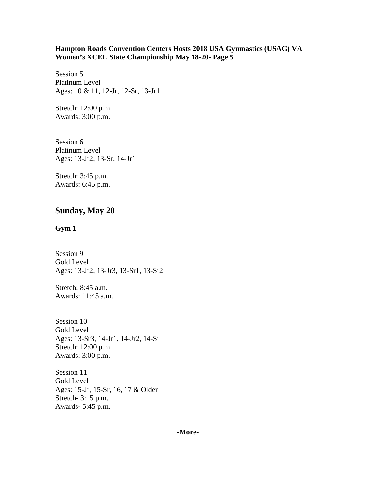Session 5 Platinum Level Ages: 10 & 11, 12-Jr, 12-Sr, 13-Jr1

Stretch: 12:00 p.m. Awards: 3:00 p.m.

Session 6 Platinum Level Ages: 13-Jr2, 13-Sr, 14-Jr1

Stretch: 3:45 p.m. Awards: 6:45 p.m.

# **Sunday, May 20**

#### **Gym 1**

Session 9 Gold Level Ages: 13-Jr2, 13-Jr3, 13-Sr1, 13-Sr2

Stretch: 8:45 a.m. Awards: 11:45 a.m.

Session 10 Gold Level Ages: 13-Sr3, 14-Jr1, 14-Jr2, 14-Sr Stretch: 12:00 p.m. Awards: 3:00 p.m.

Session 11 Gold Level Ages: 15-Jr, 15-Sr, 16, 17 & Older Stretch- 3:15 p.m. Awards- 5:45 p.m.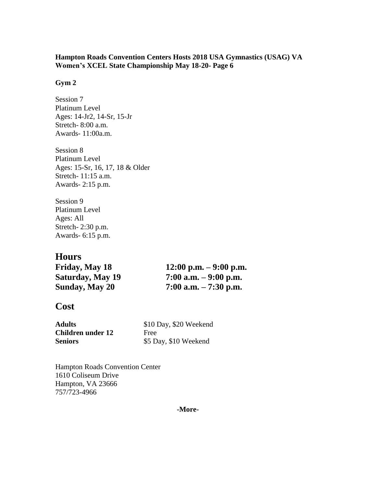### **Gym 2**

Session 7 Platinum Level Ages: 14-Jr2, 14-Sr, 15-Jr Stretch- 8:00 a.m. Awards- 11:00a.m.

Session 8 Platinum Level Ages: 15-Sr, 16, 17, 18 & Older Stretch- 11:15 a.m. Awards- 2:15 p.m.

Session 9 Platinum Level Ages: All Stretch- 2:30 p.m. Awards- 6:15 p.m.

# **Hours**

**Friday, May 18 12:00 p.m. – 9:00 p.m. Saturday, May 19 7:00 a.m. – 9:00 p.m. Sunday, May 20 7:00 a.m. – 7:30 p.m.**

# **Cost**

| <b>Adults</b>            | \$10 Day, \$20 Weekend |
|--------------------------|------------------------|
| <b>Children under 12</b> | Free                   |
| <b>Seniors</b>           | \$5 Day, \$10 Weekend  |

Hampton Roads Convention Center 1610 Coliseum Drive Hampton, VA 23666 757/723-4966

**-More-**